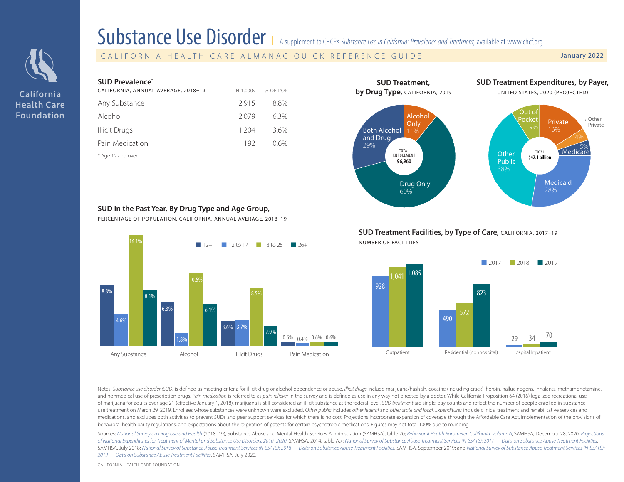

California **Health Care Foundation** 

| <b>Substance Use Disorder</b> |  |  |
|-------------------------------|--|--|
|                               |  |  |

supplement to CHCF's *Substance Use in California: Prevalence and Treatment*, available at [www.chcf.org](http://www.chcf.org/publication/2022-edition-substance-use-california).

CALIFORNIA HEALTH CARE ALMANAC QUICK REFERENCE GUIDE January 2022

## **SUD Prevalence\***

| CALIFORNIA, ANNUAL AVERAGE, 2018-19 | IN 1.000s | % OF POP |  |
|-------------------------------------|-----------|----------|--|
| Any Substance                       | 2.915     | 8.8%     |  |
| Alcohol                             | 2.079     | $6.3\%$  |  |
| Illicit Drugs                       | 1,204     | 3.6%     |  |
| Pain Medication                     | 192       | 0.6%     |  |
|                                     |           |          |  |

\* Age 12 and over



#### **SUD in the Past Year, By Drug Type and Age Group,**

PERCENTAGE OF POPULATION, CALIFORNIA, ANNUAL AVERAGE, 2018–19



**SUD Treatment Facilities, by Type of Care, CALIFORNIA, 2017-19** NUMBER OF FACILITIES



Notes: Substance use disorder (SUD) is defined as meeting criteria for illicit drug or alcohol dependence or abuse. Illicit drugs include marijuana/hashish, cocaine (including crack), heroin, hallucinogens, inhalants, meth and nonmedical use of prescription drugs. Pain medication is referred to as pain reliever in the survey and is defined as use in any way not directed by a doctor. While California Proposition 64 (2016) legalized recreation of marijuana for adults over age 21 (effective January 1, 2018), marijuana is still considered an illicit substance at the federal level. SUD treatment are single-day counts and reflect the number of people enrolled in sub use treatment on March 29, 2019. Enrollees whose substances were unknown were excluded. Other public includes other federal and other state and local. Expenditures include clinical treatment and rehabilitative services and medications, and excludes both activities to prevent SUDs and peer support services for which there is no cost. Projections incorporate expansion of coverage through the Affordable Care Act, implementation of the provision behavioral health parity regulations, and expectations about the expiration of patents for certain psychotropic medications. Figures may not total 100% due to rounding.

Sources: [National Survey on Drug Use and Health](https://www.samhsa.gov/data/report/2018-2019-nsduh-state-specific-tables) (2018-19), Substance Abuse and Mental Health Services Administration (SAMHSA), table 20; [Behavioral Health Barometer: California, Volume 6](https://www.samhsa.gov/data/report/behavioral-health-barometer-california-volume-6), SAMHSA, December 28, 2020; Project of National Expenditures for Treatment of Mental and Substance Use Disorders, 2010-2020, SAMHSA, 2014, table A.7; National Survey of Substance Abuse Treatment Services (N-SSATS): 2017 - Data on Substance Abuse Treatment Fa SAMHSA. July 2018: [National Survey of Substance Abuse Treatment Services \(N-SSATS\):](https://www.samhsa.gov/data/report/national-survey-substance-abuse-treatment-services-n-ssats-2019-data-substance-abuse) 2018 - Data on Substance Abuse Treatment Facilities, SAMHSA, September 2019: and National Survey of Substance Abuse Treatment Services (N-*[2019 — Data on Substance Abuse Treatment Facilities](https://www.samhsa.gov/data/report/national-survey-substance-abuse-treatment-services-n-ssats-2019-data-substance-abuse)*, SAMHSA, July 2020.

CALIFORNIA HEALTH CARE FOUNDATION